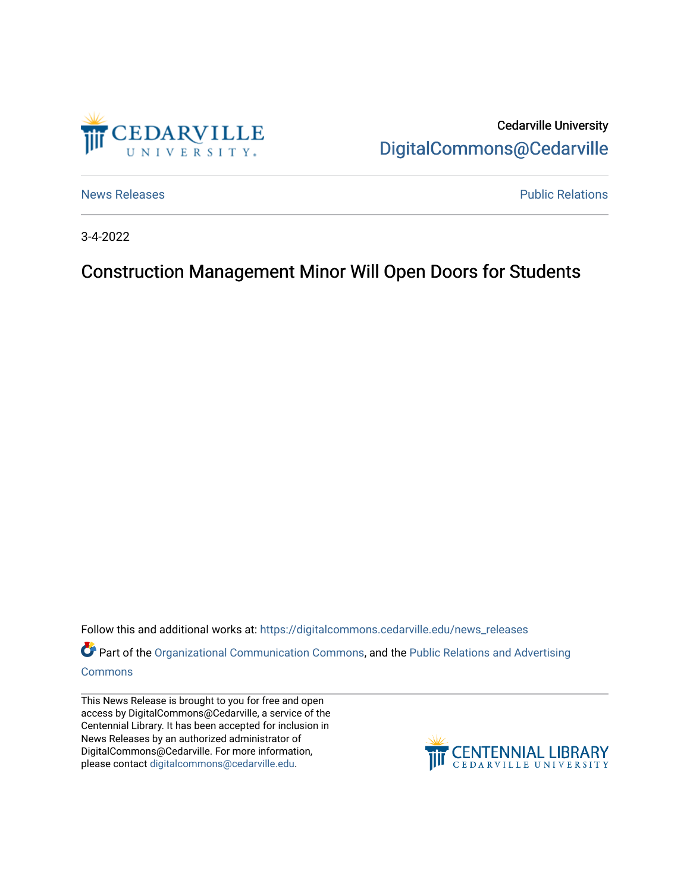

Cedarville University [DigitalCommons@Cedarville](https://digitalcommons.cedarville.edu/) 

[News Releases](https://digitalcommons.cedarville.edu/news_releases) **Public Relations Public Relations** 

3-4-2022

## Construction Management Minor Will Open Doors for Students

Follow this and additional works at: [https://digitalcommons.cedarville.edu/news\\_releases](https://digitalcommons.cedarville.edu/news_releases?utm_source=digitalcommons.cedarville.edu%2Fnews_releases%2F1511&utm_medium=PDF&utm_campaign=PDFCoverPages) 

Part of the [Organizational Communication Commons](http://network.bepress.com/hgg/discipline/335?utm_source=digitalcommons.cedarville.edu%2Fnews_releases%2F1511&utm_medium=PDF&utm_campaign=PDFCoverPages), and the [Public Relations and Advertising](http://network.bepress.com/hgg/discipline/336?utm_source=digitalcommons.cedarville.edu%2Fnews_releases%2F1511&utm_medium=PDF&utm_campaign=PDFCoverPages)  [Commons](http://network.bepress.com/hgg/discipline/336?utm_source=digitalcommons.cedarville.edu%2Fnews_releases%2F1511&utm_medium=PDF&utm_campaign=PDFCoverPages)

This News Release is brought to you for free and open access by DigitalCommons@Cedarville, a service of the Centennial Library. It has been accepted for inclusion in News Releases by an authorized administrator of DigitalCommons@Cedarville. For more information, please contact [digitalcommons@cedarville.edu](mailto:digitalcommons@cedarville.edu).

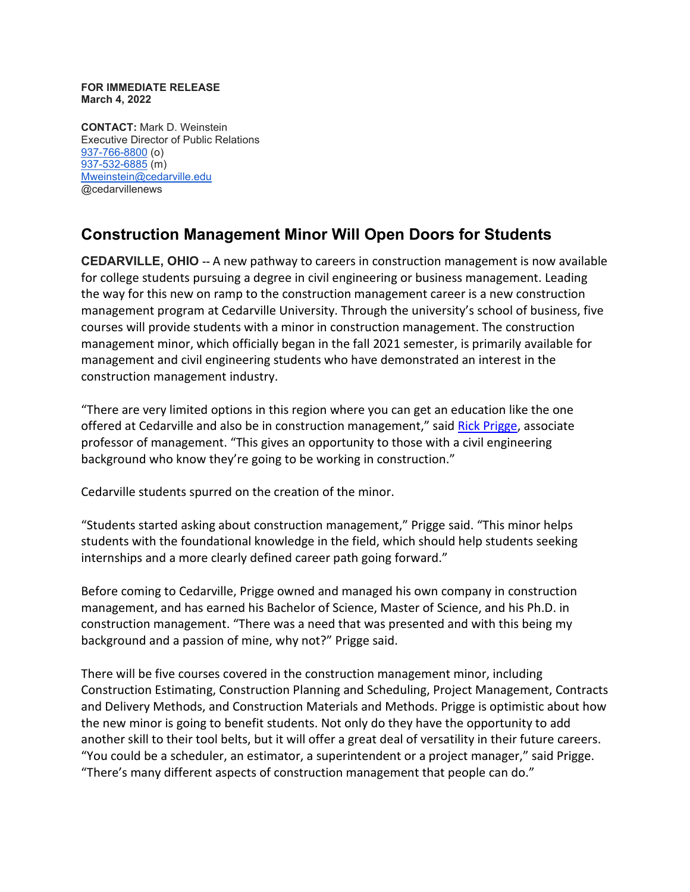## **FOR IMMEDIATE RELEASE March 4, 2022**

**CONTACT:** Mark D. Weinstein Executive Director of Public Relations [937-766-8800](tel:937-766-8800) (o) [937-532-6885](tel:937-532-6885) (m) [Mweinstein@cedarville.edu](mailto:Mweinstein@cedarville.edu) @cedarvillenews

## **Construction Management Minor Will Open Doors for Students**

**CEDARVILLE, OHIO --** A new pathway to careers in construction management is now available for college students pursuing a degree in civil engineering or business management. Leading the way for this new on ramp to the construction management career is a new construction management program at Cedarville University. Through the university's school of business, five courses will provide students with a minor in construction management. The construction management minor, which officially began in the fall 2021 semester, is primarily available for management and civil engineering students who have demonstrated an interest in the construction management industry.

"There are very limited options in this region where you can get an education like the one offered at Cedarville and also be in construction management," said [Rick Prigge,](https://www.cedarville.edu/academic-schools-and-departments/business-administration/undergraduate/faculty/management/prigge-rick) associate professor of management. "This gives an opportunity to those with a civil engineering background who know they're going to be working in construction."

Cedarville students spurred on the creation of the minor.

"Students started asking about construction management," Prigge said. "This minor helps students with the foundational knowledge in the field, which should help students seeking internships and a more clearly defined career path going forward."

Before coming to Cedarville, Prigge owned and managed his own company in construction management, and has earned his Bachelor of Science, Master of Science, and his Ph.D. in construction management. "There was a need that was presented and with this being my background and a passion of mine, why not?" Prigge said.

There will be five courses covered in the construction management minor, including Construction Estimating, Construction Planning and Scheduling, Project Management, Contracts and Delivery Methods, and Construction Materials and Methods. Prigge is optimistic about how the new minor is going to benefit students. Not only do they have the opportunity to add another skill to their tool belts, but it will offer a great deal of versatility in their future careers. "You could be a scheduler, an estimator, a superintendent or a project manager," said Prigge. "There's many different aspects of construction management that people can do."